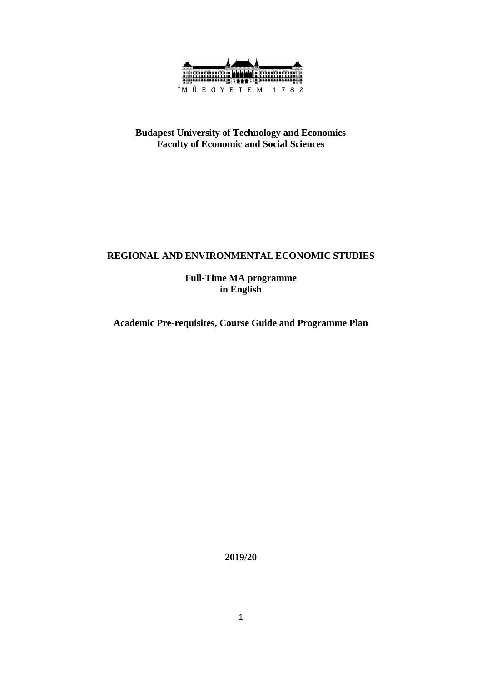

### **Budapest University of Technology and Economics Faculty of Economic and Social Sciences**

### **REGIONAL AND ENVIRONMENTAL ECONOMIC STUDIES**

**Full-Time MA programme in English**

**Academic Pre-requisites, Course Guide and Programme Plan**

**2019/20**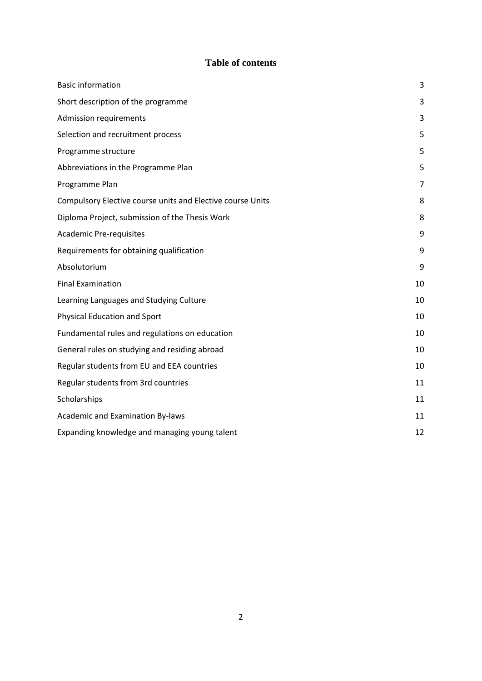### **Table of contents**

| <b>Basic information</b>                                   | 3  |
|------------------------------------------------------------|----|
| Short description of the programme                         | 3  |
| <b>Admission requirements</b>                              | 3  |
| Selection and recruitment process                          | 5  |
| Programme structure                                        | 5  |
| Abbreviations in the Programme Plan                        | 5  |
| Programme Plan                                             | 7  |
| Compulsory Elective course units and Elective course Units | 8  |
| Diploma Project, submission of the Thesis Work             | 8  |
| <b>Academic Pre-requisites</b>                             | 9  |
| Requirements for obtaining qualification                   | 9  |
| Absolutorium                                               | 9  |
| <b>Final Examination</b>                                   | 10 |
| Learning Languages and Studying Culture                    | 10 |
| <b>Physical Education and Sport</b>                        | 10 |
| Fundamental rules and regulations on education             | 10 |
| General rules on studying and residing abroad              | 10 |
| Regular students from EU and EEA countries                 | 10 |
| Regular students from 3rd countries                        | 11 |
| Scholarships                                               | 11 |
| Academic and Examination By-laws                           | 11 |
| Expanding knowledge and managing young talent              | 12 |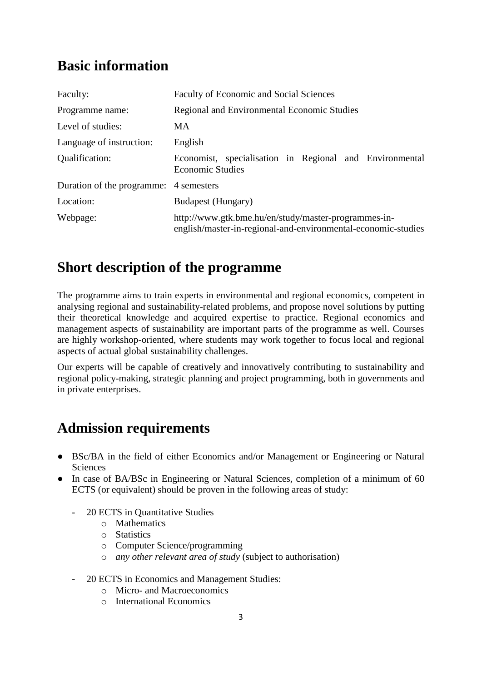# <span id="page-2-0"></span>**Basic information**

| Faculty:                               | <b>Faculty of Economic and Social Sciences</b>                                                                        |  |
|----------------------------------------|-----------------------------------------------------------------------------------------------------------------------|--|
| Programme name:                        | <b>Regional and Environmental Economic Studies</b>                                                                    |  |
| Level of studies:                      | <b>MA</b>                                                                                                             |  |
| Language of instruction:               | English                                                                                                               |  |
| Qualification:                         | Economist, specialisation in Regional and Environmental<br><b>Economic Studies</b>                                    |  |
| Duration of the programme: 4 semesters |                                                                                                                       |  |
| Location:                              | Budapest (Hungary)                                                                                                    |  |
| Webpage:                               | http://www.gtk.bme.hu/en/study/master-programmes-in-<br>english/master-in-regional-and-environmental-economic-studies |  |

# <span id="page-2-1"></span>**Short description of the programme**

The programme aims to train experts in environmental and regional economics, competent in analysing regional and sustainability-related problems, and propose novel solutions by putting their theoretical knowledge and acquired expertise to practice. Regional economics and management aspects of sustainability are important parts of the programme as well. Courses are highly workshop-oriented, where students may work together to focus local and regional aspects of actual global sustainability challenges.

Our experts will be capable of creatively and innovatively contributing to sustainability and regional policy-making, strategic planning and project programming, both in governments and in private enterprises.

## <span id="page-2-2"></span>**Admission requirements**

- BSc/BA in the field of either Economics and/or Management or Engineering or Natural Sciences
- In case of BA/BSc in Engineering or Natural Sciences, completion of a minimum of 60 ECTS (or equivalent) should be proven in the following areas of study:
	- 20 ECTS in Quantitative Studies
		- o Mathematics
		- o Statistics
		- o Computer Science/programming
		- o *any other relevant area of study* (subject to authorisation)
	- 20 ECTS in Economics and Management Studies:
		- o Micro- and Macroeconomics
		- o International Economics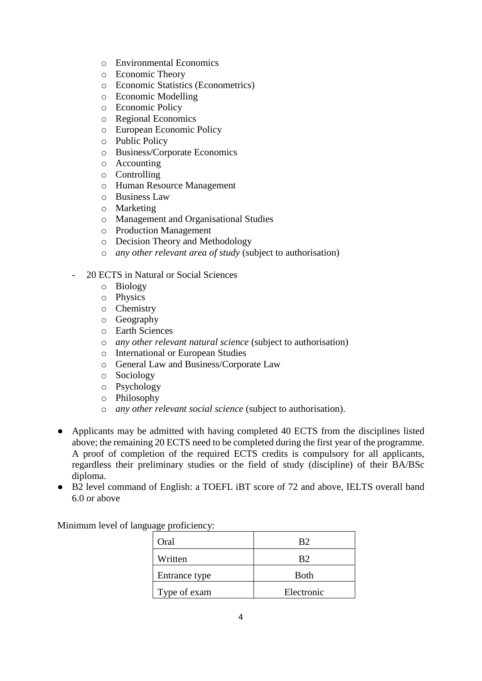- o Environmental Economics
- o Economic Theory
- o Economic Statistics (Econometrics)
- o Economic Modelling
- o Economic Policy
- o Regional Economics
- o European Economic Policy
- o Public Policy
- o Business/Corporate Economics
- o Accounting
- o Controlling
- o Human Resource Management
- o Business Law
- o Marketing
- o Management and Organisational Studies
- o Production Management
- o Decision Theory and Methodology
- o *any other relevant area of study* (subject to authorisation)
- 20 ECTS in Natural or Social Sciences
	- o Biology
	- o Physics
	- o Chemistry
	- o Geography
	- o Earth Sciences
	- o *any other relevant natural science* (subject to authorisation)
	- o International or European Studies
	- o General Law and Business/Corporate Law
	- o Sociology
	- o Psychology
	- o Philosophy
	- o *any other relevant social science* (subject to authorisation).
- Applicants may be admitted with having completed 40 ECTS from the disciplines listed above; the remaining 20 ECTS need to be completed during the first year of the programme. A proof of completion of the required ECTS credits is compulsory for all applicants, regardless their preliminary studies or the field of study (discipline) of their BA/BSc diploma.
- B2 level command of English: a TOEFL iBT score of 72 and above, IELTS overall band 6.0 or above

Minimum level of language proficiency:

| Oral          | R2          |
|---------------|-------------|
| Written       | R2          |
| Entrance type | <b>Both</b> |
| Type of exam  | Electronic  |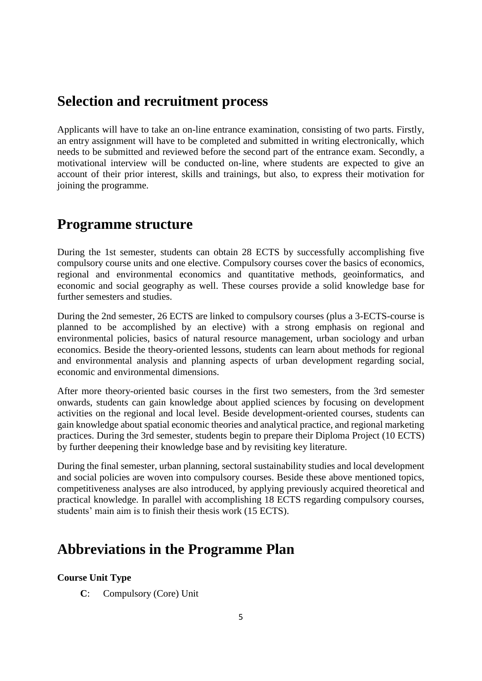### <span id="page-4-0"></span>**Selection and recruitment process**

Applicants will have to take an on-line entrance examination, consisting of two parts. Firstly, an entry assignment will have to be completed and submitted in writing electronically, which needs to be submitted and reviewed before the second part of the entrance exam. Secondly, a motivational interview will be conducted on-line, where students are expected to give an account of their prior interest, skills and trainings, but also, to express their motivation for joining the programme.

### <span id="page-4-1"></span>**Programme structure**

During the 1st semester, students can obtain 28 ECTS by successfully accomplishing five compulsory course units and one elective. Compulsory courses cover the basics of economics, regional and environmental economics and quantitative methods, geoinformatics, and economic and social geography as well. These courses provide a solid knowledge base for further semesters and studies.

During the 2nd semester, 26 ECTS are linked to compulsory courses (plus a 3-ECTS-course is planned to be accomplished by an elective) with a strong emphasis on regional and environmental policies, basics of natural resource management, urban sociology and urban economics. Beside the theory-oriented lessons, students can learn about methods for regional and environmental analysis and planning aspects of urban development regarding social, economic and environmental dimensions.

After more theory-oriented basic courses in the first two semesters, from the 3rd semester onwards, students can gain knowledge about applied sciences by focusing on development activities on the regional and local level. Beside development-oriented courses, students can gain knowledge about spatial economic theories and analytical practice, and regional marketing practices. During the 3rd semester, students begin to prepare their Diploma Project (10 ECTS) by further deepening their knowledge base and by revisiting key literature.

During the final semester, urban planning, sectoral sustainability studies and local development and social policies are woven into compulsory courses. Beside these above mentioned topics, competitiveness analyses are also introduced, by applying previously acquired theoretical and practical knowledge. In parallel with accomplishing 18 ECTS regarding compulsory courses, students' main aim is to finish their thesis work (15 ECTS).

## <span id="page-4-2"></span>**Abbreviations in the Programme Plan**

### **Course Unit Type**

**C**: Compulsory (Core) Unit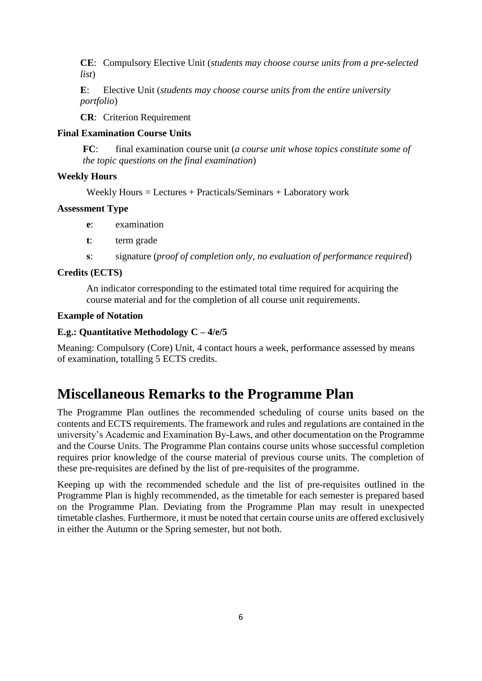**CE**: Compulsory Elective Unit (*students may choose course units from a pre-selected list*)

**E**: Elective Unit (*students may choose course units from the entire university portfolio*)

**CR**: Criterion Requirement

#### **Final Examination Course Units**

**FC**: final examination course unit (*a course unit whose topics constitute some of the topic questions on the final examination*)

#### **Weekly Hours**

Weekly Hours = Lectures + Practicals/Seminars + Laboratory work

#### **Assessment Type**

- **e**: examination
- **t**: term grade
- **s**: signature (*proof of completion only, no evaluation of performance required*)

#### **Credits (ECTS)**

An indicator corresponding to the estimated total time required for acquiring the course material and for the completion of all course unit requirements.

#### **Example of Notation**

#### **E.g.: Quantitative Methodology C – 4/e/5**

Meaning: Compulsory (Core) Unit, 4 contact hours a week, performance assessed by means of examination, totalling 5 ECTS credits.

### **Miscellaneous Remarks to the Programme Plan**

The Programme Plan outlines the recommended scheduling of course units based on the contents and ECTS requirements. The framework and rules and regulations are contained in the university's Academic and Examination By-Laws, and other documentation on the Programme and the Course Units. The Programme Plan contains course units whose successful completion requires prior knowledge of the course material of previous course units. The completion of these pre-requisites are defined by the list of pre-requisites of the programme.

Keeping up with the recommended schedule and the list of pre-requisites outlined in the Programme Plan is highly recommended, as the timetable for each semester is prepared based on the Programme Plan. Deviating from the Programme Plan may result in unexpected timetable clashes. Furthermore, it must be noted that certain course units are offered exclusively in either the Autumn or the Spring semester, but not both.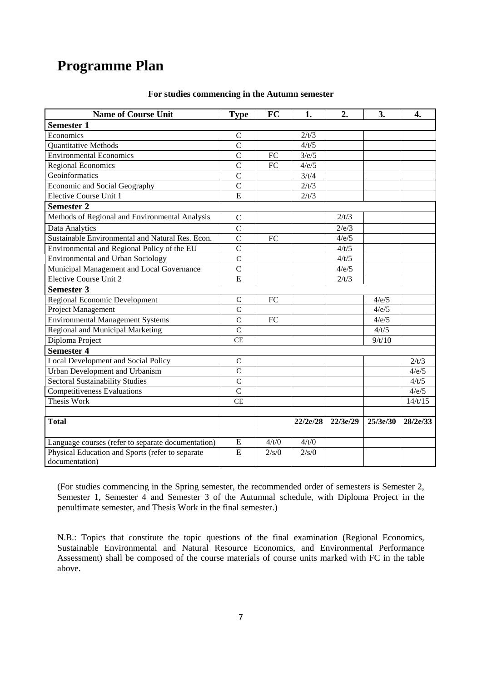## <span id="page-6-0"></span>**Programme Plan**

| <b>Name of Course Unit</b>                         | <b>Type</b>    | <b>FC</b>       | 1.       | 2.       | 3.       | 4.       |
|----------------------------------------------------|----------------|-----------------|----------|----------|----------|----------|
| <b>Semester 1</b>                                  |                |                 |          |          |          |          |
| Economics                                          | $\mathsf{C}$   |                 | 2/t/3    |          |          |          |
| Quantitative Methods                               | $\overline{C}$ |                 | 4/t/5    |          |          |          |
| <b>Environmental Economics</b>                     | $\overline{C}$ | FC              | 3/e/5    |          |          |          |
| <b>Regional Economics</b>                          | $\overline{C}$ | $\overline{FC}$ | 4/e/5    |          |          |          |
| Geoinformatics                                     | $\mathbf C$    |                 | 3/t/4    |          |          |          |
| Economic and Social Geography                      | $\overline{C}$ |                 | 2/t/3    |          |          |          |
| Elective Course Unit 1                             | $\overline{E}$ |                 | 2/t/3    |          |          |          |
| <b>Semester 2</b>                                  |                |                 |          |          |          |          |
| Methods of Regional and Environmental Analysis     | $\mathbf C$    |                 |          | 2/t/3    |          |          |
| Data Analytics                                     | $\overline{C}$ |                 |          | 2/e/3    |          |          |
| Sustainable Environmental and Natural Res. Econ.   | $\overline{C}$ | FC              |          | 4/e/5    |          |          |
| Environmental and Regional Policy of the EU        | $\overline{C}$ |                 |          | 4/t/5    |          |          |
| Environmental and Urban Sociology                  | $\mathbf C$    |                 |          | 4/t/5    |          |          |
| Municipal Management and Local Governance          | $\overline{C}$ |                 |          | 4/e/5    |          |          |
| <b>Elective Course Unit 2</b>                      | E              |                 |          | 2/t/3    |          |          |
| <b>Semester 3</b>                                  |                |                 |          |          |          |          |
| <b>Regional Economic Development</b>               | $\mathsf{C}$   | FC              |          |          | 4/e/5    |          |
| Project Management                                 | $\overline{C}$ |                 |          |          | 4/e/5    |          |
| <b>Environmental Management Systems</b>            | $\mathbf C$    | ${\rm FC}$      |          |          | 4/e/5    |          |
| Regional and Municipal Marketing                   | $\overline{C}$ |                 |          |          | 4/t/5    |          |
| Diploma Project                                    | <b>CE</b>      |                 |          |          | 9/t/10   |          |
| <b>Semester 4</b>                                  |                |                 |          |          |          |          |
| Local Development and Social Policy                | $\mathcal{C}$  |                 |          |          |          | 2/t/3    |
| Urban Development and Urbanism                     | $\overline{C}$ |                 |          |          |          | 4/e/5    |
| <b>Sectoral Sustainability Studies</b>             | $\overline{C}$ |                 |          |          |          | 4/t/5    |
| <b>Competitiveness Evaluations</b>                 | $\overline{C}$ |                 |          |          |          | 4/e/5    |
| <b>Thesis Work</b>                                 | <b>CE</b>      |                 |          |          |          | 14/t/15  |
|                                                    |                |                 |          |          |          |          |
| <b>Total</b>                                       |                |                 | 22/2e/28 | 22/3e/29 | 25/3e/30 | 28/2e/33 |
|                                                    |                |                 |          |          |          |          |
| Language courses (refer to separate documentation) | E              | 4/t/0           | 4/t/0    |          |          |          |
| Physical Education and Sports (refer to separate   | E              | 2/s/0           | 2/s/0    |          |          |          |
| documentation)                                     |                |                 |          |          |          |          |

#### **For studies commencing in the Autumn semester**

(For studies commencing in the Spring semester, the recommended order of semesters is Semester 2, Semester 1, Semester 4 and Semester 3 of the Autumnal schedule, with Diploma Project in the penultimate semester, and Thesis Work in the final semester.)

N.B.: Topics that constitute the topic questions of the final examination (Regional Economics, Sustainable Environmental and Natural Resource Economics, and Environmental Performance Assessment) shall be composed of the course materials of course units marked with FC in the table above.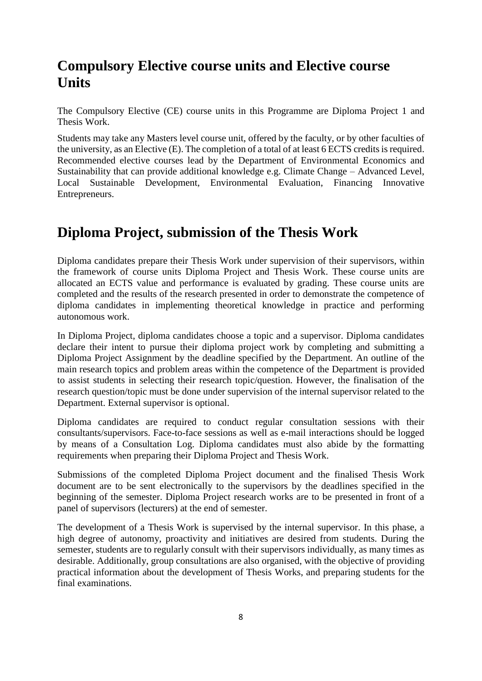# <span id="page-7-0"></span>**Compulsory Elective course units and Elective course Units**

The Compulsory Elective (CE) course units in this Programme are Diploma Project 1 and Thesis Work.

Students may take any Masters level course unit, offered by the faculty, or by other faculties of the university, as an Elective (E). The completion of a total of at least 6 ECTS credits is required. Recommended elective courses lead by the Department of Environmental Economics and Sustainability that can provide additional knowledge e.g. Climate Change – Advanced Level, Local Sustainable Development, Environmental Evaluation, Financing Innovative Entrepreneurs.

# <span id="page-7-1"></span>**Diploma Project, submission of the Thesis Work**

Diploma candidates prepare their Thesis Work under supervision of their supervisors, within the framework of course units Diploma Project and Thesis Work. These course units are allocated an ECTS value and performance is evaluated by grading. These course units are completed and the results of the research presented in order to demonstrate the competence of diploma candidates in implementing theoretical knowledge in practice and performing autonomous work.

In Diploma Project, diploma candidates choose a topic and a supervisor. Diploma candidates declare their intent to pursue their diploma project work by completing and submitting a Diploma Project Assignment by the deadline specified by the Department. An outline of the main research topics and problem areas within the competence of the Department is provided to assist students in selecting their research topic/question. However, the finalisation of the research question/topic must be done under supervision of the internal supervisor related to the Department. External supervisor is optional.

Diploma candidates are required to conduct regular consultation sessions with their consultants/supervisors. Face-to-face sessions as well as e-mail interactions should be logged by means of a Consultation Log. Diploma candidates must also abide by the formatting requirements when preparing their Diploma Project and Thesis Work.

Submissions of the completed Diploma Project document and the finalised Thesis Work document are to be sent electronically to the supervisors by the deadlines specified in the beginning of the semester. Diploma Project research works are to be presented in front of a panel of supervisors (lecturers) at the end of semester.

The development of a Thesis Work is supervised by the internal supervisor. In this phase, a high degree of autonomy, proactivity and initiatives are desired from students. During the semester, students are to regularly consult with their supervisors individually, as many times as desirable. Additionally, group consultations are also organised, with the objective of providing practical information about the development of Thesis Works, and preparing students for the final examinations.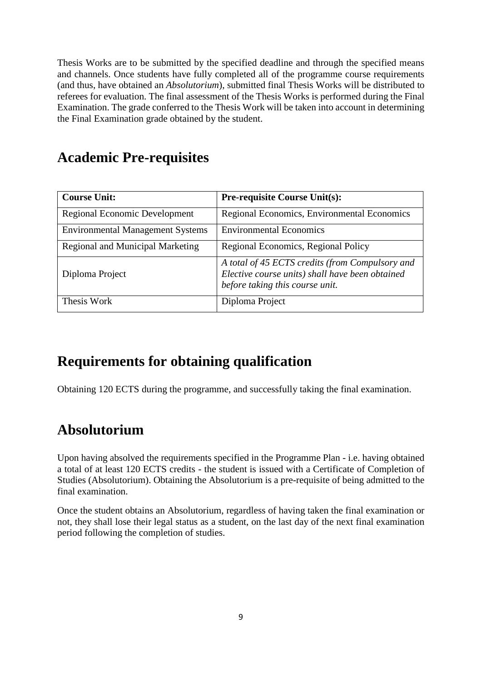Thesis Works are to be submitted by the specified deadline and through the specified means and channels. Once students have fully completed all of the programme course requirements (and thus, have obtained an *Absolutorium*), submitted final Thesis Works will be distributed to referees for evaluation. The final assessment of the Thesis Works is performed during the Final Examination. The grade conferred to the Thesis Work will be taken into account in determining the Final Examination grade obtained by the student.

# <span id="page-8-0"></span>**Academic Pre-requisites**

| <b>Course Unit:</b>                     | <b>Pre-requisite Course Unit(s):</b>                                                                                                  |
|-----------------------------------------|---------------------------------------------------------------------------------------------------------------------------------------|
| <b>Regional Economic Development</b>    | Regional Economics, Environmental Economics                                                                                           |
| <b>Environmental Management Systems</b> | <b>Environmental Economics</b>                                                                                                        |
| <b>Regional and Municipal Marketing</b> | Regional Economics, Regional Policy                                                                                                   |
| Diploma Project                         | A total of 45 ECTS credits (from Compulsory and<br>Elective course units) shall have been obtained<br>before taking this course unit. |
| Thesis Work                             | Diploma Project                                                                                                                       |

# <span id="page-8-1"></span>**Requirements for obtaining qualification**

Obtaining 120 ECTS during the programme, and successfully taking the final examination.

# <span id="page-8-2"></span>**Absolutorium**

Upon having absolved the requirements specified in the Programme Plan - i.e. having obtained a total of at least 120 ECTS credits - the student is issued with a Certificate of Completion of Studies (Absolutorium). Obtaining the Absolutorium is a pre-requisite of being admitted to the final examination.

Once the student obtains an Absolutorium, regardless of having taken the final examination or not, they shall lose their legal status as a student, on the last day of the next final examination period following the completion of studies.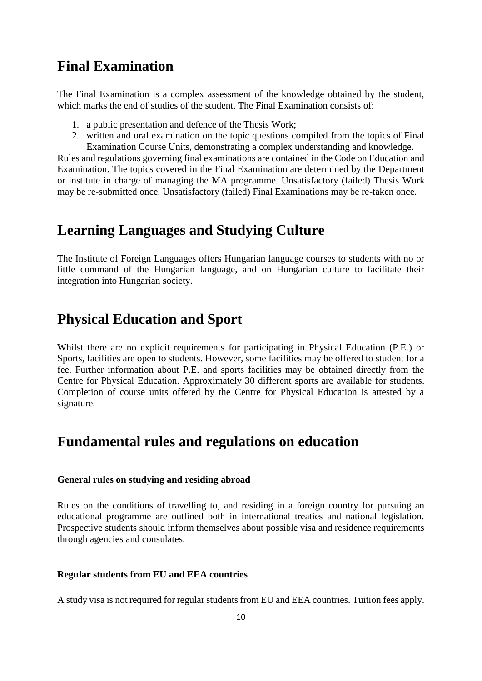### <span id="page-9-0"></span>**Final Examination**

The Final Examination is a complex assessment of the knowledge obtained by the student, which marks the end of studies of the student. The Final Examination consists of:

- 1. a public presentation and defence of the Thesis Work;
- 2. written and oral examination on the topic questions compiled from the topics of Final Examination Course Units, demonstrating a complex understanding and knowledge.

Rules and regulations governing final examinations are contained in the Code on Education and Examination. The topics covered in the Final Examination are determined by the Department or institute in charge of managing the MA programme. Unsatisfactory (failed) Thesis Work may be re-submitted once. Unsatisfactory (failed) Final Examinations may be re-taken once.

### <span id="page-9-1"></span>**Learning Languages and Studying Culture**

The Institute of Foreign Languages offers Hungarian language courses to students with no or little command of the Hungarian language, and on Hungarian culture to facilitate their integration into Hungarian society.

### <span id="page-9-2"></span>**Physical Education and Sport**

Whilst there are no explicit requirements for participating in Physical Education (P.E.) or Sports, facilities are open to students. However, some facilities may be offered to student for a fee. Further information about P.E. and sports facilities may be obtained directly from the Centre for Physical Education. Approximately 30 different sports are available for students. Completion of course units offered by the Centre for Physical Education is attested by a signature.

### <span id="page-9-3"></span>**Fundamental rules and regulations on education**

#### <span id="page-9-4"></span>**General rules on studying and residing abroad**

Rules on the conditions of travelling to, and residing in a foreign country for pursuing an educational programme are outlined both in international treaties and national legislation. Prospective students should inform themselves about possible visa and residence requirements through agencies and consulates.

#### <span id="page-9-5"></span>**Regular students from EU and EEA countries**

A study visa is not required for regular students from EU and EEA countries. Tuition fees apply.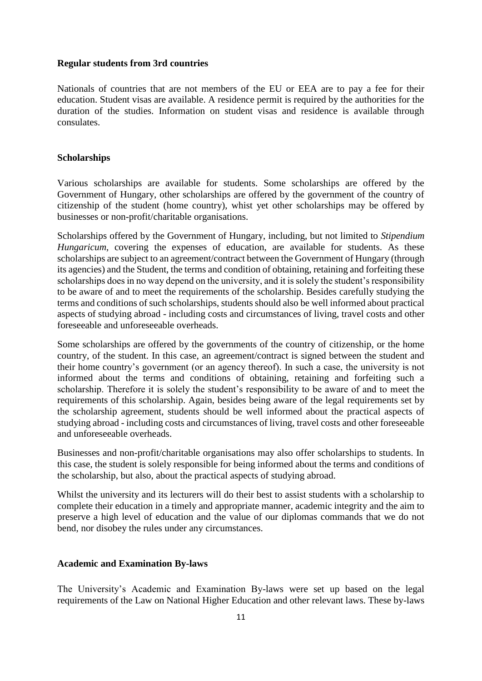#### <span id="page-10-0"></span>**Regular students from 3rd countries**

Nationals of countries that are not members of the EU or EEA are to pay a fee for their education. Student visas are available. A residence permit is required by the authorities for the duration of the studies. Information on student visas and residence is available through consulates.

#### <span id="page-10-1"></span>**Scholarships**

Various scholarships are available for students. Some scholarships are offered by the Government of Hungary, other scholarships are offered by the government of the country of citizenship of the student (home country), whist yet other scholarships may be offered by businesses or non-profit/charitable organisations.

Scholarships offered by the Government of Hungary, including, but not limited to *Stipendium Hungaricum*, covering the expenses of education, are available for students. As these scholarships are subject to an agreement/contract between the Government of Hungary (through its agencies) and the Student, the terms and condition of obtaining, retaining and forfeiting these scholarships does in no way depend on the university, and it is solely the student's responsibility to be aware of and to meet the requirements of the scholarship. Besides carefully studying the terms and conditions of such scholarships, students should also be well informed about practical aspects of studying abroad - including costs and circumstances of living, travel costs and other foreseeable and unforeseeable overheads.

Some scholarships are offered by the governments of the country of citizenship, or the home country, of the student. In this case, an agreement/contract is signed between the student and their home country's government (or an agency thereof). In such a case, the university is not informed about the terms and conditions of obtaining, retaining and forfeiting such a scholarship. Therefore it is solely the student's responsibility to be aware of and to meet the requirements of this scholarship. Again, besides being aware of the legal requirements set by the scholarship agreement, students should be well informed about the practical aspects of studying abroad - including costs and circumstances of living, travel costs and other foreseeable and unforeseeable overheads.

Businesses and non-profit/charitable organisations may also offer scholarships to students. In this case, the student is solely responsible for being informed about the terms and conditions of the scholarship, but also, about the practical aspects of studying abroad.

Whilst the university and its lecturers will do their best to assist students with a scholarship to complete their education in a timely and appropriate manner, academic integrity and the aim to preserve a high level of education and the value of our diplomas commands that we do not bend, nor disobey the rules under any circumstances.

#### <span id="page-10-2"></span>**Academic and Examination By-laws**

The University's Academic and Examination By-laws were set up based on the legal requirements of the Law on National Higher Education and other relevant laws. These by-laws